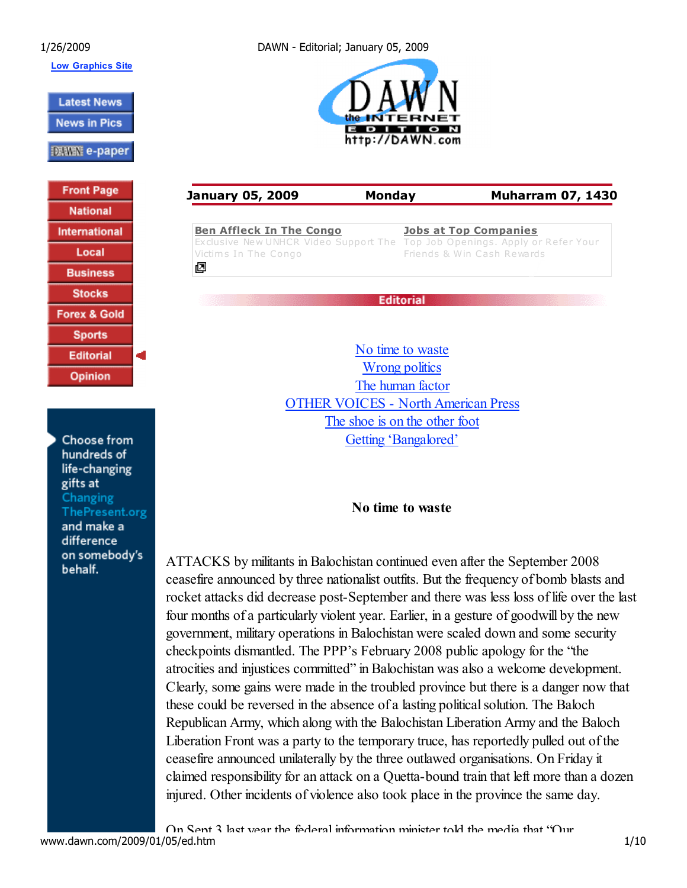Low Graphics Site

**Latest News** 

**News in Pics** 

**| 張福熙 e-paper** 

**Front Page National International** Local **Business Stocks Forex & Gold Sports Editorial Opinion** 

×.

Choose from hundreds of life-changing gifts at Changing ThePresent.org and make a difference on somebody's behalf.

1/26/2009 DAWN - Editorial; January 05, 2009



January 05, 2009 Monday Muharram 07, 1430 Ben Affleck In The Congo Jobs at Top Companies Exclusive New UNHCR Video Support The Top Job Openings. Apply or Refer Your Victims In The Congo Friends & Win Cash Rewards 囨 **Editorial** 

> No time to waste Wrong politics The human factor OTHER VOICES - North American Press The shoe is on the other foot Getting 'Bangalored'

## No time to waste

ATTACKS by militants in Balochistan continued even after the September 2008 ceasefire announced by three nationalist outfits. But the frequency of bomb blasts and rocket attacks did decrease post-September and there was less loss of life over the last four months of a particularly violent year. Earlier, in a gesture of goodwill by the new government, military operations in Balochistan were scaled down and some security checkpoints dismantled. The PPP's February 2008 public apology for the "the atrocities and injustices committed" in Balochistan was also a welcome development. Clearly, some gains were made in the troubled province but there is a danger now that these could be reversed in the absence of a lasting political solution. The Baloch Republican Army, which along with the Balochistan Liberation Army and the Baloch Liberation Front was a party to the temporary truce, has reportedly pulled out of the ceasefire announced unilaterally by the three outlawed organisations. On Friday it claimed responsibility for an attack on a Quetta-bound train that left more than a dozen injured. Other incidents of violence also took place in the province the same day.

On Sept 3 last year the federal information minister told the media that "Our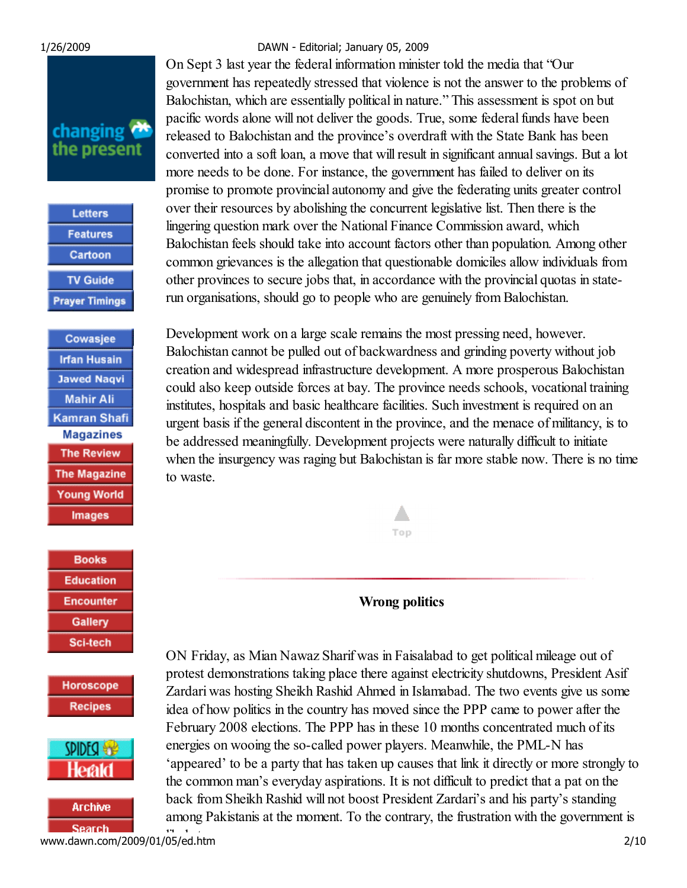# changing the present

| Letters               |
|-----------------------|
| <b>Features</b>       |
| Cartoon               |
| <b>TV Guide</b>       |
| <b>Prayer Timings</b> |

Cowasjee **Irfan Husain Jawed Nagvi Mahir Ali** Kamran Shafi **Magazines The Review The Magazine Young World Images** 

**Books Education Encounter Gallery Sci-tech** 

Horoscope **Recipes** 





likely to grow.<br>www.dawn.com/2009/01/05/ed.htm 2/10

#### 1/26/2009 DAWN - Editorial; January 05, 2009

On Sept 3 last year the federal information minister told the media that "Our government has repeatedly stressed that violence is not the answer to the problems of Balochistan, which are essentially political in nature." This assessment is spot on but pacific words alone will not deliver the goods. True, some federal funds have been released to Balochistan and the province's overdraft with the State Bank has been converted into a soft loan, a move that will result in significant annual savings. But a lot more needs to be done. For instance, the government has failed to deliver on its promise to promote provincial autonomy and give the federating units greater control over their resources by abolishing the concurrent legislative list. Then there is the lingering question mark over the National Finance Commission award, which Balochistan feels should take into account factors other than population. Among other common grievances is the allegation that questionable domiciles allow individuals from other provinces to secure jobs that, in accordance with the provincial quotas in staterun organisations, should go to people who are genuinely from Balochistan.

Development work on a large scale remains the most pressing need, however. Balochistan cannot be pulled out of backwardness and grinding poverty without job creation and widespread infrastructure development. A more prosperous Balochistan could also keep outside forces at bay. The province needs schools, vocational training institutes, hospitals and basic healthcare facilities. Such investment is required on an urgent basis if the general discontent in the province, and the menace of militancy, is to be addressed meaningfully. Development projects were naturally difficult to initiate when the insurgency was raging but Balochistan is far more stable now. There is no time to waste.

Wrong politics

Δ

Top

ON Friday, as Mian Nawaz Sharif was in Faisalabad to get political mileage out of protest demonstrations taking place there against electricity shutdowns, President Asif Zardari was hosting Sheikh Rashid Ahmed in Islamabad. The two events give us some idea of how politics in the country has moved since the PPP came to power after the February 2008 elections. The PPP has in these 10 months concentrated much of its energies on wooing the so-called power players. Meanwhile, the PML-N has 'appeared' to be a party that has taken up causes that link it directly or more strongly to the common man's everyday aspirations. It is not difficult to predict that a pat on the back from Sheikh Rashid will not boost President Zardari's and his party's standing among Pakistanis at the moment. To the contrary, the frustration with the government is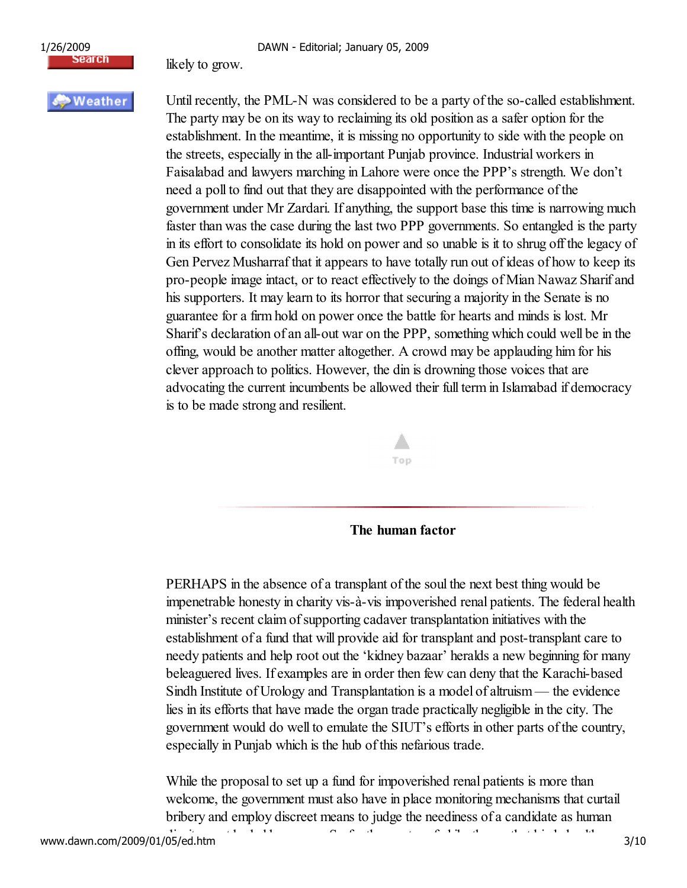



likely to grow.

## Weather

Until recently, the PML-N was considered to be a party of the so-called establishment. The party may be on its way to reclaiming its old position as a safer option for the establishment. In the meantime, it is missing no opportunity to side with the people on the streets, especially in the all-important Punjab province. Industrial workers in Faisalabad and lawyers marching in Lahore were once the PPP's strength. We don't need a poll to find out that they are disappointed with the performance of the government under Mr Zardari. If anything, the support base this time is narrowing much faster than was the case during the last two PPP governments. So entangled is the party in its effort to consolidate its hold on power and so unable is it to shrug off the legacy of Gen Pervez Musharraf that it appears to have totally run out of ideas of how to keep its pro-people image intact, or to react effectively to the doings of Mian Nawaz Sharif and his supporters. It may learn to its horror that securing a majority in the Senate is no guarantee for a firm hold on power once the battle for hearts and minds is lost. Mr Sharif's declaration of an all-out war on the PPP, something which could well be in the offing, would be another matter altogether. A crowd may be applauding him for his clever approach to politics. However, the din is drowning those voices that are advocating the current incumbents be allowed their full term in Islamabad if democracy is to be made strong and resilient.



The human factor

PERHAPS in the absence of a transplant of the soul the next best thing would be impenetrable honesty in charity vis-à-vis impoverished renal patients. The federal health minister's recent claim of supporting cadaver transplantation initiatives with the establishment of a fund that will provide aid for transplant and post-transplant care to needy patients and help root out the 'kidney bazaar' heralds a new beginning for many beleaguered lives. If examples are in order then few can deny that the Karachi-based Sindh Institute of Urology and Transplantation is a model of altruism — the evidence lies in its efforts that have made the organ trade practically negligible in the city. The government would do well to emulate the SIUT's efforts in other parts of the country, especially in Punjab which is the hub of this nefarious trade.

While the proposal to set up a fund for impoverished renal patients is more than welcome, the government must also have in place monitoring mechanisms that curtail bribery and employ discreet means to judge the neediness of a candidate as human dignity must be held supplied that binds health binds health binds health binds health binds health binds health binds health binds health binds health binds health binds health binds health binds health binds health binds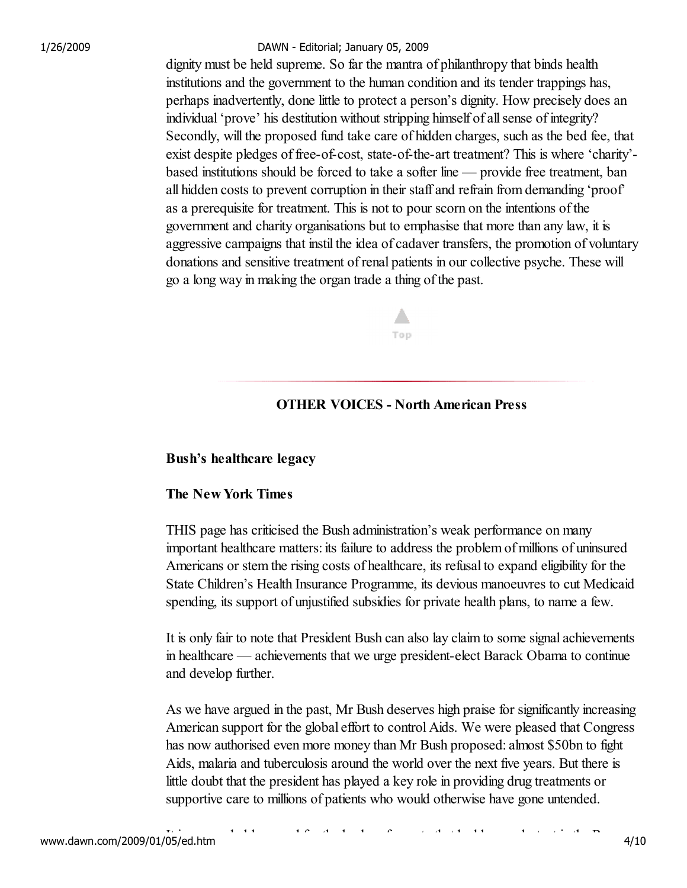dignity must be held supreme. So far the mantra of philanthropy that binds health institutions and the government to the human condition and its tender trappings has, perhaps inadvertently, done little to protect a person's dignity. How precisely does an individual 'prove' his destitution without stripping himself of all sense of integrity? Secondly, will the proposed fund take care of hidden charges, such as the bed fee, that exist despite pledges of free-of-cost, state-of-the-art treatment? This is where 'charity' based institutions should be forced to take a softer line — provide free treatment, ban all hidden costs to prevent corruption in their staff and refrain from demanding 'proof' as a prerequisite for treatment. This is not to pour scorn on the intentions of the government and charity organisations but to emphasise that more than any law, it is aggressive campaigns that instil the idea of cadaver transfers, the promotion of voluntary donations and sensitive treatment of renal patients in our collective psyche. These will go a long way in making the organ trade a thing of the past.

Top

### OTHER VOICES - North American Press

#### Bush's healthcare legacy

#### The New York Times

THIS page has criticised the Bush administration's weak performance on many important healthcare matters: its failure to address the problem of millions of uninsured Americans or stem the rising costs of healthcare, its refusal to expand eligibility for the State Children's Health Insurance Programme, its devious manoeuvres to cut Medicaid spending, its support of unjustified subsidies for private health plans, to name a few.

It is only fair to note that President Bush can also lay claim to some signal achievements in healthcare — achievements that we urge president-elect Barack Obama to continue and develop further.

As we have argued in the past, Mr Bush deserves high praise for significantly increasing American support for the global effort to control Aids. We were pleased that Congress has now authorised even more money than Mr Bush proposed: almost \$50bn to fight Aids, malaria and tuberculosis around the world over the next five years. But there is little doubt that the president has played a key role in providing drug treatments or supportive care to millions of patients who would otherwise have gone untended.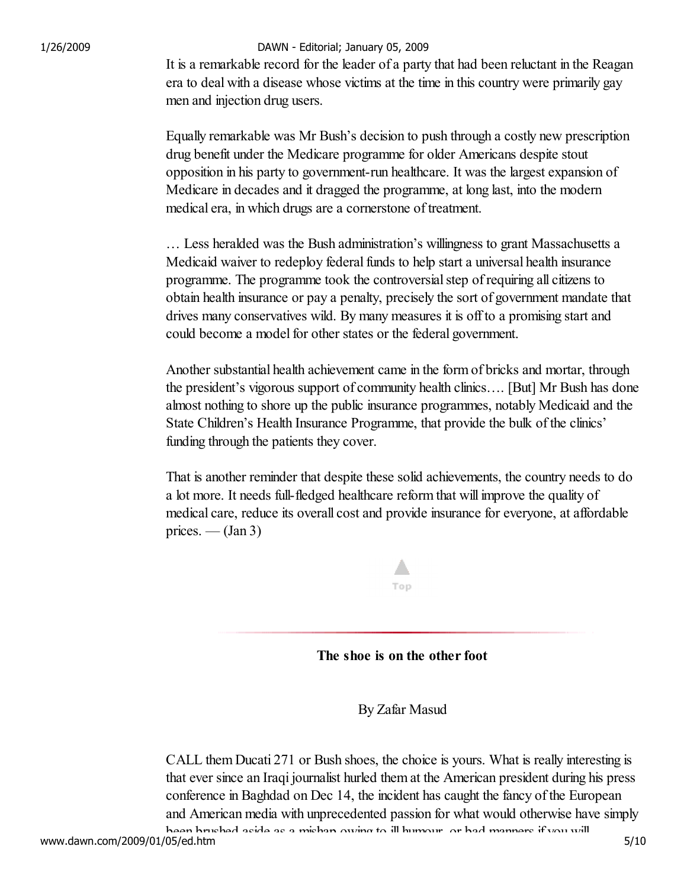It is a remarkable record for the leader of a party that had been reluctant in the Reagan era to deal with a disease whose victims at the time in this country were primarily gay men and injection drug users.

Equally remarkable was Mr Bush's decision to push through a costly new prescription drug benefit under the Medicare programme for older Americans despite stout opposition in his party to government-run healthcare. It was the largest expansion of Medicare in decades and it dragged the programme, at long last, into the modern medical era, in which drugs are a cornerstone of treatment.

… Less heralded was the Bush administration's willingness to grant Massachusetts a Medicaid waiver to redeploy federal funds to help start a universal health insurance programme. The programme took the controversial step of requiring all citizens to obtain health insurance or pay a penalty, precisely the sort of government mandate that drives many conservatives wild. By many measures it is off to a promising start and could become a model for other states or the federal government.

Another substantial health achievement came in the form of bricks and mortar, through the president's vigorous support of community health clinics…. [But] Mr Bush has done almost nothing to shore up the public insurance programmes, notably Medicaid and the State Children's Health Insurance Programme, that provide the bulk of the clinics' funding through the patients they cover.

That is another reminder that despite these solid achievements, the country needs to do a lot more. It needs full-fledged healthcare reform that will improve the quality of medical care, reduce its overall cost and provide insurance for everyone, at affordable prices. —  $(Jan 3)$ 



### The shoe is on the other foot

By Zafar Masud

CALL them Ducati 271 or Bush shoes, the choice is yours. What is really interesting is that ever since an Iraqi journalist hurled them at the American president during his press conference in Baghdad on Dec 14, the incident has caught the fancy of the European and American media with unprecedented passion for what would otherwise have simply been brushed aside as a mishap owing to ill humour, or bad manners if you will.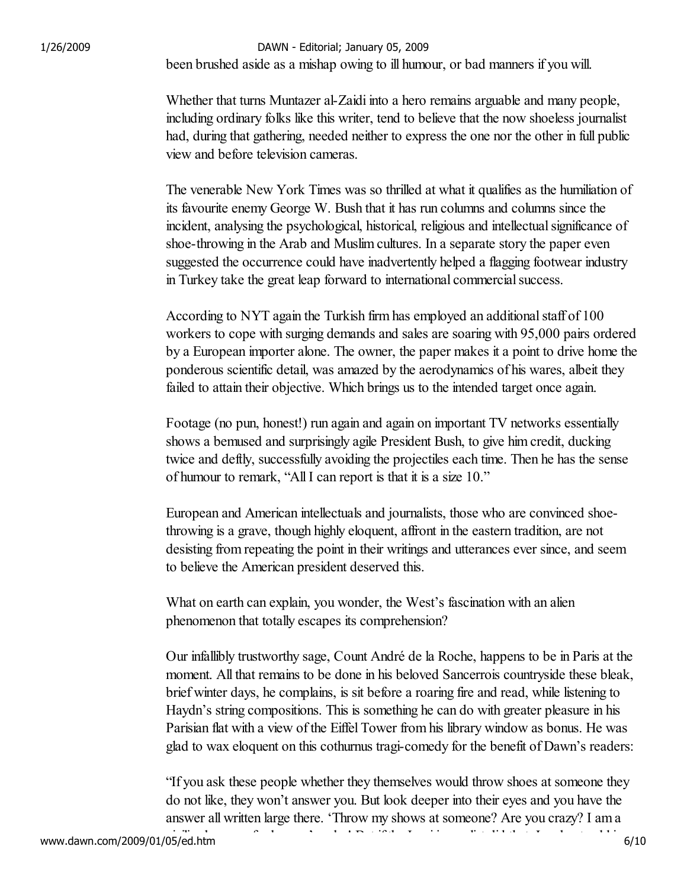been brushed aside as a mishap owing to ill humour, or bad manners if you will. 1/26/2009 DAWN - Editorial; January 05, 2009

> Whether that turns Muntazer al-Zaidi into a hero remains arguable and many people, including ordinary folks like this writer, tend to believe that the now shoeless journalist had, during that gathering, needed neither to express the one nor the other in full public view and before television cameras.

> The venerable New York Times was so thrilled at what it qualifies as the humiliation of its favourite enemy George W. Bush that it has run columns and columns since the incident, analysing the psychological, historical, religious and intellectual significance of shoe-throwing in the Arab and Muslim cultures. In a separate story the paper even suggested the occurrence could have inadvertently helped a flagging footwear industry in Turkey take the great leap forward to international commercial success.

> According to NYT again the Turkish firm has employed an additional staff of 100 workers to cope with surging demands and sales are soaring with 95,000 pairs ordered by a European importer alone. The owner, the paper makes it a point to drive home the ponderous scientific detail, was amazed by the aerodynamics of his wares, albeit they failed to attain their objective. Which brings us to the intended target once again.

Footage (no pun, honest!) run again and again on important TV networks essentially shows a bemused and surprisingly agile President Bush, to give him credit, ducking twice and deftly, successfully avoiding the projectiles each time. Then he has the sense of humour to remark, "All I can report is that it is a size 10."

European and American intellectuals and journalists, those who are convinced shoethrowing is a grave, though highly eloquent, affront in the eastern tradition, are not desisting from repeating the point in their writings and utterances ever since, and seem to believe the American president deserved this.

What on earth can explain, you wonder, the West's fascination with an alien phenomenon that totally escapes its comprehension?

Our infallibly trustworthy sage, Count André de la Roche, happens to be in Paris at the moment. All that remains to be done in his beloved Sancerrois countryside these bleak, brief winter days, he complains, is sit before a roaring fire and read, while listening to Haydn's string compositions. This is something he can do with greater pleasure in his Parisian flat with a view of the Eiffel Tower from his library window as bonus. He was glad to wax eloquent on this cothurnus tragi-comedy for the benefit of Dawn's readers:

"If you ask these people whether they themselves would throw shoes at someone they do not like, they won't answer you. But look deeper into their eyes and you have the answer all written large there. 'Throw my shows at someone? Are you crazy? I am a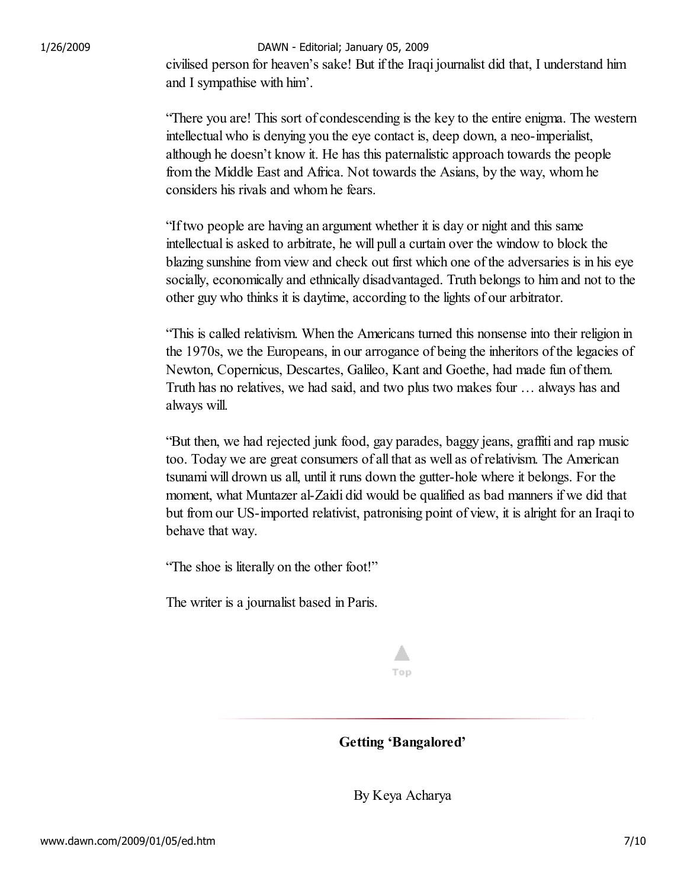civilised person for heaven's sake! But if the Iraqi journalist did that, I understand him and I sympathise with him'.

"There you are! This sort of condescending is the key to the entire enigma. The western intellectual who is denying you the eye contact is, deep down, a neo-imperialist, although he doesn't know it. He has this paternalistic approach towards the people from the Middle East and Africa. Not towards the Asians, by the way, whom he considers his rivals and whom he fears.

"If two people are having an argument whether it is day or night and this same intellectual is asked to arbitrate, he will pull a curtain over the window to block the blazing sunshine from view and check out first which one of the adversaries is in his eye socially, economically and ethnically disadvantaged. Truth belongs to him and not to the other guy who thinks it is daytime, according to the lights of our arbitrator.

"This is called relativism. When the Americans turned this nonsense into their religion in the 1970s, we the Europeans, in our arrogance of being the inheritors of the legacies of Newton, Copernicus, Descartes, Galileo, Kant and Goethe, had made fun of them. Truth has no relatives, we had said, and two plus two makes four … always has and always will.

"But then, we had rejected junk food, gay parades, baggy jeans, graffiti and rap music too. Today we are great consumers of all that as well as of relativism. The American tsunami will drown us all, until it runs down the gutter-hole where it belongs. For the moment, what Muntazer al-Zaidi did would be qualified as bad manners if we did that but from our US-imported relativist, patronising point of view, it is alright for an Iraqi to behave that way.

"The shoe is literally on the other foot!"

The writer is a journalist based in Paris.

# Top

Getting 'Bangalored'

By Keya Acharya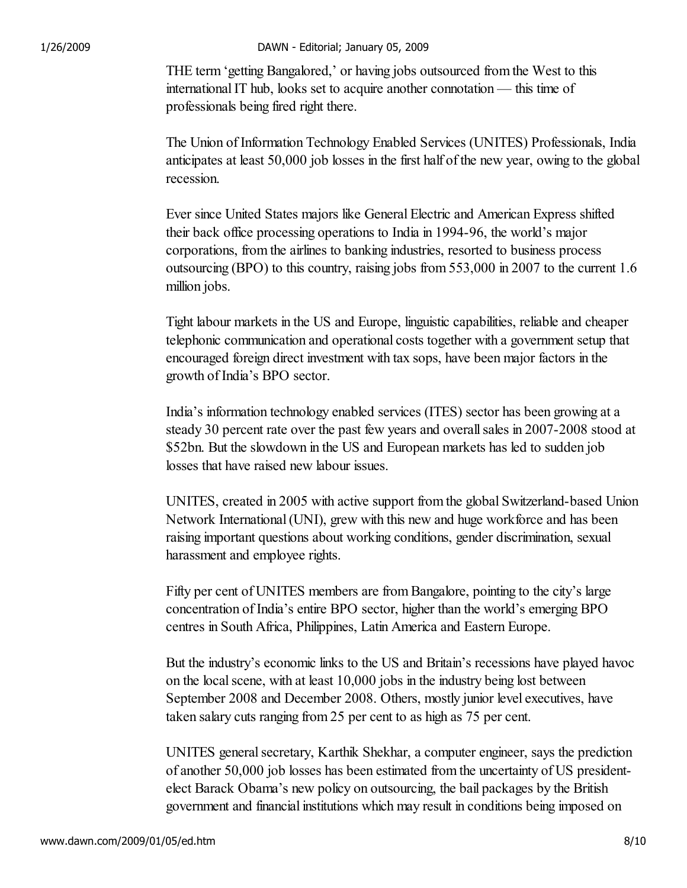THE term 'getting Bangalored,' or having jobs outsourced from the West to this international IT hub, looks set to acquire another connotation — this time of professionals being fired right there.

The Union of Information Technology Enabled Services (UNITES) Professionals, India anticipates at least 50,000 job losses in the first half of the new year, owing to the global recession.

Ever since United States majors like General Electric and American Express shifted their back office processing operations to India in 1994-96, the world's major corporations, from the airlines to banking industries, resorted to business process outsourcing (BPO) to this country, raising jobs from 553,000 in 2007 to the current 1.6 million jobs.

Tight labour markets in the US and Europe, linguistic capabilities, reliable and cheaper telephonic communication and operational costs together with a government setup that encouraged foreign direct investment with tax sops, have been major factors in the growth of India's BPO sector.

India's information technology enabled services (ITES) sector has been growing at a steady 30 percent rate over the past few years and overall sales in 2007-2008 stood at \$52bn. But the slowdown in the US and European markets has led to sudden job losses that have raised new labour issues.

UNITES, created in 2005 with active support from the global Switzerland-based Union Network International (UNI), grew with this new and huge workforce and has been raising important questions about working conditions, gender discrimination, sexual harassment and employee rights.

Fifty per cent of UNITES members are from Bangalore, pointing to the city's large concentration of India's entire BPO sector, higher than the world's emerging BPO centres in South Africa, Philippines, Latin America and Eastern Europe.

But the industry's economic links to the US and Britain's recessions have played havoc on the local scene, with at least 10,000 jobs in the industry being lost between September 2008 and December 2008. Others, mostly junior level executives, have taken salary cuts ranging from 25 per cent to as high as 75 per cent.

UNITES general secretary, Karthik Shekhar, a computer engineer, says the prediction of another 50,000 job losses has been estimated from the uncertainty of US presidentelect Barack Obama's new policy on outsourcing, the bail packages by the British government and financial institutions which may result in conditions being imposed on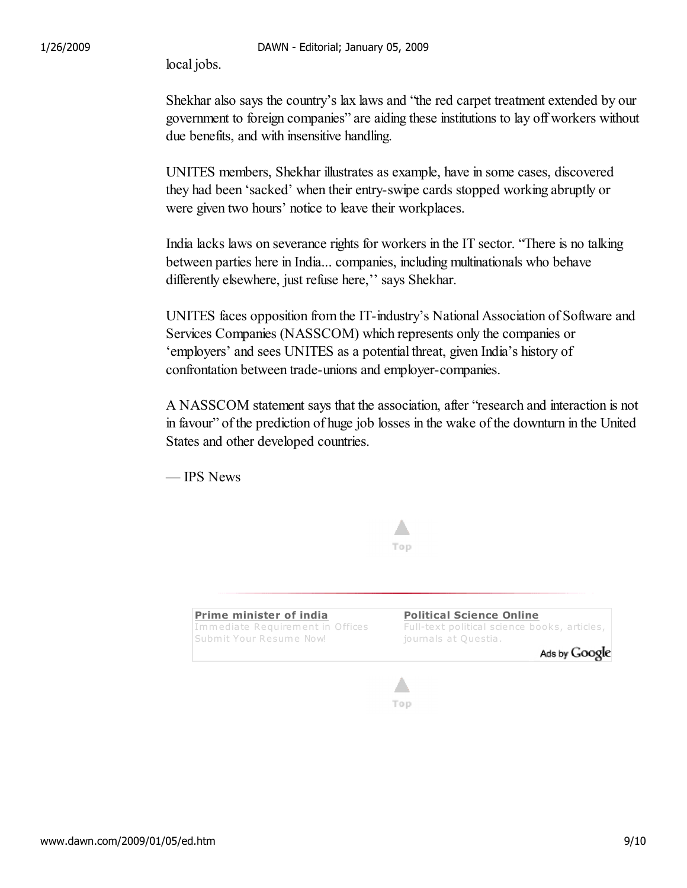local jobs.

Shekhar also says the country's lax laws and "the red carpet treatment extended by our government to foreign companies" are aiding these institutions to lay off workers without due benefits, and with insensitive handling.

UNITES members, Shekhar illustrates as example, have in some cases, discovered they had been 'sacked' when their entry-swipe cards stopped working abruptly or were given two hours' notice to leave their workplaces.

India lacks laws on severance rights for workers in the IT sector. "There is no talking between parties here in India... companies, including multinationals who behave differently elsewhere, just refuse here,'' says Shekhar.

UNITES faces opposition from the IT-industry's National Association of Software and Services Companies (NASSCOM) which represents only the companies or 'employers' and sees UNITES as a potential threat, given India's history of confrontation between trade-unions and employer-companies.

A NASSCOM statement says that the association, after "research and interaction is not in favour" of the prediction of huge job losses in the wake of the downturn in the United States and other developed countries.

— IPS News





www.dawn.com/2009/01/05/ed.htm 9/10